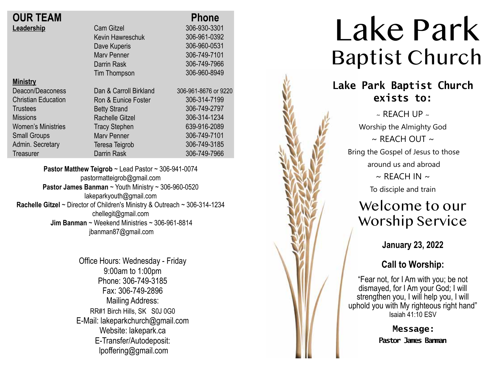| <b>OUR TEAM</b>            |                        | <b>Phone</b>         |
|----------------------------|------------------------|----------------------|
| Leadership                 | <b>Cam Gitzel</b>      | 306-930-3301         |
|                            | Kevin Hawreschuk       | 306-961-0392         |
|                            | Dave Kuperis           | 306-960-0531         |
|                            | <b>Mary Penner</b>     | 306-749-7101         |
|                            | Darrin Rask            | 306-749-7966         |
|                            | Tim Thompson           | 306-960-8949         |
| <b>Ministry</b>            |                        |                      |
| Deacon/Deaconess           | Dan & Carroll Birkland | 306-961-8676 or 9220 |
| <b>Christian Education</b> | Ron & Eunice Foster    | 306-314-7199         |
| <b>Trustees</b>            | <b>Betty Strand</b>    | 306-749-2797         |
| <b>Missions</b>            | <b>Rachelle Gitzel</b> | 306-314-1234         |
| <b>Women's Ministries</b>  | <b>Tracy Stephen</b>   | 639-916-2089         |
| <b>Small Groups</b>        | <b>Mary Penner</b>     | 306-749-7101         |
| Admin. Secretary           | Teresa Teigrob         | 306-749-3185         |
| <b>Treasurer</b>           | <b>Darrin Rask</b>     | 306-749-7966         |
|                            |                        |                      |

**Pastor Matthew Teigrob** ~ Lead Pastor ~ 306-941-0074 pastormatteigrob@gmail.com **Pastor James Banman** ~ Youth Ministry ~ 306-960-0520 lakeparkyouth@gmail.com **Rachelle Gitzel** ~ Director of Children's Ministry & Outreach ~ 306-314-1234 chellegit@gmail.com  **Jim Banman** ~ Weekend Ministries ~ 306-961-8814 jbanman87@gmail.com

> Office Hours: Wednesday - Friday 9:00am to 1:00pm Phone: 306-749-3185 Fax: 306-749-2896 Mailing Address: RR#1 Birch Hills, SK S0J 0G0 E-Mail: lakeparkchurch@gmail.com Website: lakepark.ca E-Transfer/Autodeposit: lpoffering@gmail.com